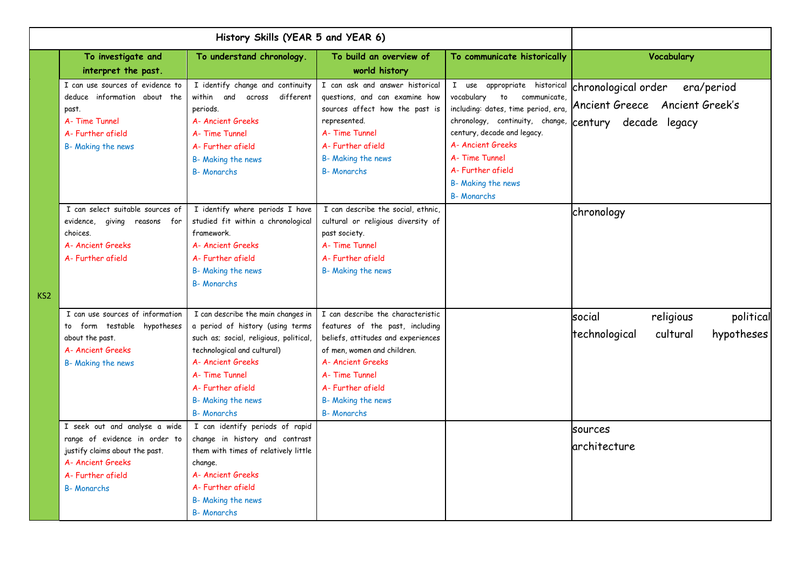| History Skills (YEAR 5 and YEAR 6) |                                  |                                        |                                    |                                     |                                         |
|------------------------------------|----------------------------------|----------------------------------------|------------------------------------|-------------------------------------|-----------------------------------------|
|                                    | To investigate and               | To understand chronology.              | To build an overview of            | To communicate historically         | Vocabulary                              |
|                                    | interpret the past.              |                                        | world history                      |                                     |                                         |
|                                    | I can use sources of evidence to | I identify change and continuity       | I can ask and answer historical    | I use appropriate historical        | chronological order<br>era/period       |
|                                    | deduce information about the     | within and across<br>different         | questions, and can examine how     | vocabulary<br>to<br>communicate,    | Ancient Greece Ancient Greek's          |
|                                    | past.                            | periods.                               | sources affect how the past is     | including: dates, time period, era, |                                         |
|                                    | A- Time Tunnel                   | A- Ancient Greeks                      | represented.                       | chronology, continuity, change,     | century decade legacy                   |
|                                    | A- Further afield                | A-Time Tunnel                          | A-Time Tunnel                      | century, decade and legacy.         |                                         |
|                                    | B- Making the news               | A-Further afield                       | A- Further afield                  | A- Ancient Greeks                   |                                         |
|                                    |                                  | B- Making the news                     | B- Making the news                 | A-Time Tunnel                       |                                         |
|                                    |                                  | <b>B-Monarchs</b>                      | <b>B-Monarchs</b>                  | A- Further afield                   |                                         |
|                                    |                                  |                                        |                                    | B- Making the news                  |                                         |
|                                    |                                  |                                        |                                    | <b>B-Monarchs</b>                   |                                         |
|                                    | I can select suitable sources of | I identify where periods I have        | I can describe the social, ethnic, |                                     | chronology                              |
|                                    | evidence, giving reasons for     | studied fit within a chronological     | cultural or religious diversity of |                                     |                                         |
|                                    | choices.                         | framework.                             | past society.                      |                                     |                                         |
|                                    | A- Ancient Greeks                | A- Ancient Greeks                      | A-Time Tunnel                      |                                     |                                         |
|                                    | A- Further afield                | A-Further afield                       | A- Further afield                  |                                     |                                         |
|                                    |                                  | B- Making the news                     | B- Making the news                 |                                     |                                         |
|                                    |                                  | <b>B-Monarchs</b>                      |                                    |                                     |                                         |
| KS <sub>2</sub>                    |                                  |                                        |                                    |                                     |                                         |
|                                    | I can use sources of information | I can describe the main changes in     | I can describe the characteristic  |                                     | social<br>political<br>religious        |
|                                    | to form testable hypotheses      | a period of history (using terms       | features of the past, including    |                                     |                                         |
|                                    | about the past.                  | such as; social, religious, political, | beliefs, attitudes and experiences |                                     | hypotheses<br>technological<br>cultural |
|                                    | A- Ancient Greeks                | technological and cultural)            | of men, women and children.        |                                     |                                         |
|                                    | B- Making the news               | A- Ancient Greeks                      | A- Ancient Greeks                  |                                     |                                         |
|                                    |                                  | A- Time Tunnel                         | A- Time Tunnel                     |                                     |                                         |
|                                    |                                  | A- Further afield                      | A- Further afield                  |                                     |                                         |
|                                    |                                  | B- Making the news                     | B- Making the news                 |                                     |                                         |
|                                    |                                  | <b>B-Monarchs</b>                      | <b>B-Monarchs</b>                  |                                     |                                         |
|                                    | I seek out and analyse a wide    | I can identify periods of rapid        |                                    |                                     | sources                                 |
|                                    | range of evidence in order to    | change in history and contrast         |                                    |                                     |                                         |
|                                    | justify claims about the past.   | them with times of relatively little   |                                    |                                     | architecture                            |
|                                    | A- Ancient Greeks                | change.                                |                                    |                                     |                                         |
|                                    | A- Further afield                | A- Ancient Greeks                      |                                    |                                     |                                         |
|                                    | <b>B-Monarchs</b>                | A- Further afield                      |                                    |                                     |                                         |
|                                    |                                  | B- Making the news                     |                                    |                                     |                                         |
|                                    |                                  | <b>B-Monarchs</b>                      |                                    |                                     |                                         |